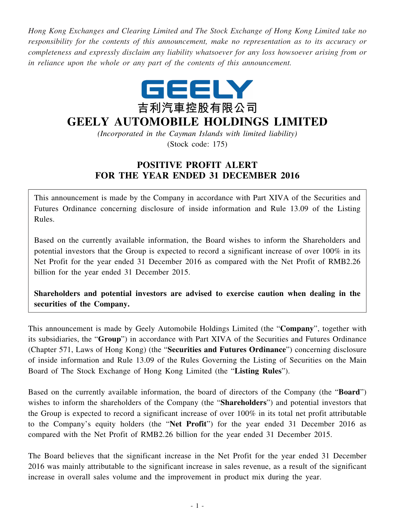*Hong Kong Exchanges and Clearing Limited and The Stock Exchange of Hong Kong Limited take no responsibility for the contents of this announcement, make no representation as to its accuracy or completeness and expressly disclaim any liability whatsoever for any loss howsoever arising from or in reliance upon the whole or any part of the contents of this announcement.*



## **GEELY AUTOMOBILE HOLDINGS LIMITED**

*(Incorporated in the Cayman Islands with limited liability)* (Stock code: 175)

## **POSITIVE PROFIT ALERT FOR THE YEAR ENDED 31 DECEMBER 2016**

This announcement is made by the Company in accordance with Part XIVA of the Securities and Futures Ordinance concerning disclosure of inside information and Rule 13.09 of the Listing Rules.

Based on the currently available information, the Board wishes to inform the Shareholders and potential investors that the Group is expected to record a significant increase of over 100% in its Net Profit for the year ended 31 December 2016 as compared with the Net Profit of RMB2.26 billion for the year ended 31 December 2015.

**Shareholders and potential investors are advised to exercise caution when dealing in the securities of the Company.**

This announcement is made by Geely Automobile Holdings Limited (the "**Company**", together with its subsidiaries, the "**Group**") in accordance with Part XIVA of the Securities and Futures Ordinance (Chapter 571, Laws of Hong Kong) (the "**Securities and Futures Ordinance**") concerning disclosure of inside information and Rule 13.09 of the Rules Governing the Listing of Securities on the Main Board of The Stock Exchange of Hong Kong Limited (the "**Listing Rules**").

Based on the currently available information, the board of directors of the Company (the "**Board**") wishes to inform the shareholders of the Company (the "**Shareholders**") and potential investors that the Group is expected to record a significant increase of over 100% in its total net profit attributable to the Company's equity holders (the "**Net Profit**") for the year ended 31 December 2016 as compared with the Net Profit of RMB2.26 billion for the year ended 31 December 2015.

The Board believes that the significant increase in the Net Profit for the year ended 31 December 2016 was mainly attributable to the significant increase in sales revenue, as a result of the significant increase in overall sales volume and the improvement in product mix during the year.